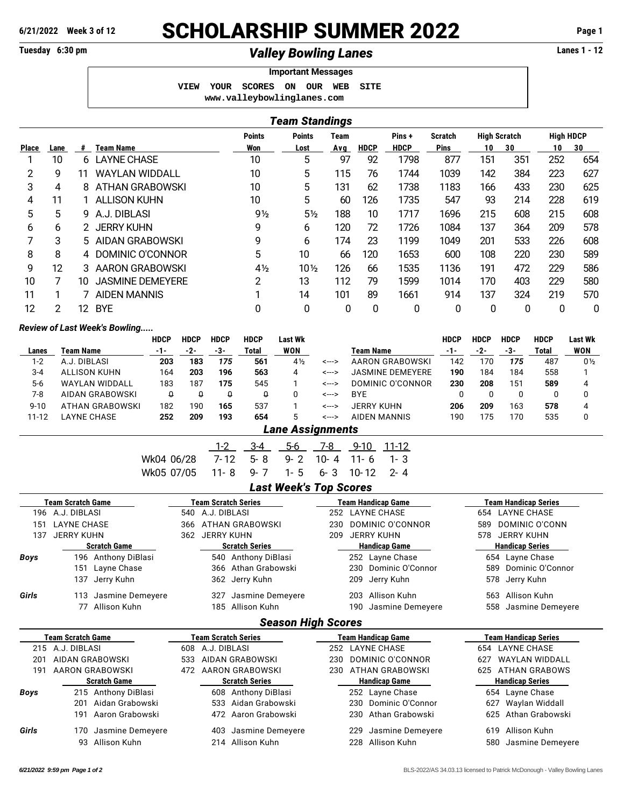## **6/21/2022 Week 3 of 12** SCHOLARSHIP SUMMER 2022 **Page 1**

## Tuesday 6:30 pm *Valley Bowling Lanes* **Lanes 1 - 12**

|                            |                    |  | <b>Important Messages</b> |      |  |
|----------------------------|--------------------|--|---------------------------|------|--|
| VIEW                       | YOUR SCORES ON OUR |  | WEB                       | SITE |  |
| www.valleybowlinglanes.com |                    |  |                           |      |  |

|                                                                                                              | <b>Team Standings</b> |    |                         |                |                 |     |             |             |             |     |     |     |     |
|--------------------------------------------------------------------------------------------------------------|-----------------------|----|-------------------------|----------------|-----------------|-----|-------------|-------------|-------------|-----|-----|-----|-----|
| <b>High HDCP</b><br><b>Points</b><br>Pins+<br><b>High Scratch</b><br><b>Points</b><br><b>Scratch</b><br>Team |                       |    |                         |                |                 |     |             |             |             |     |     |     |     |
| Place                                                                                                        | Lane                  | #  | <b>Team Name</b>        | Won            | Lost            | Avg | <b>HDCP</b> | <b>HDCP</b> | <b>Pins</b> | 10  | 30  | 10  | 30  |
|                                                                                                              | 10                    | 6  | <b>LAYNE CHASE</b>      | 10             | 5               | 97  | 92          | 1798        | 877         | 151 | 351 | 252 | 654 |
| 2                                                                                                            | 9                     | 11 | <b>WAYLAN WIDDALL</b>   | 10             | 5               | 115 | 76          | 1744        | 1039        | 142 | 384 | 223 | 627 |
| 3                                                                                                            | 4                     | 8  | ATHAN GRABOWSKI         | 10             | 5               | 131 | 62          | 1738        | 1183        | 166 | 433 | 230 | 625 |
| 4                                                                                                            | 11                    |    | <b>ALLISON KUHN</b>     | 10             | 5               | 60  | 126         | 1735        | 547         | 93  | 214 | 228 | 619 |
| 5                                                                                                            | 5                     | 9  | A.J. DIBLASI            | $9\frac{1}{2}$ | $5\frac{1}{2}$  | 188 | 10          | 1717        | 1696        | 215 | 608 | 215 | 608 |
| 6                                                                                                            | 6                     |    | 2 JERRY KUHN            | 9              | 6               | 120 | 72          | 1726        | 1084        | 137 | 364 | 209 | 578 |
|                                                                                                              | 3                     |    | 5 AIDAN GRABOWSKI       | 9              | 6               | 174 | 23          | 1199        | 1049        | 201 | 533 | 226 | 608 |
| 8                                                                                                            | 8                     | 4  | DOMINIC O'CONNOR        | 5              | 10              | 66  | 120         | 1653        | 600         | 108 | 220 | 230 | 589 |
| 9                                                                                                            | 12                    | 3  | AARON GRABOWSKI         | $4\frac{1}{2}$ | $10\frac{1}{2}$ | 126 | 66          | 1535        | 1136        | 191 | 472 | 229 | 586 |
| 10                                                                                                           |                       | 10 | <b>JASMINE DEMEYERE</b> | 2              | 13              | 112 | 79          | 1599        | 1014        | 170 | 403 | 229 | 580 |
| 11                                                                                                           | ◄                     |    | <b>AIDEN MANNIS</b>     | ◄              | 14              | 101 | 89          | 1661        | 914         | 137 | 324 | 219 | 570 |
| 12                                                                                                           | 2                     | 12 | <b>BYE</b>              | 0              | 0               | 0   | 0           | 0           | 0           | 0   | 0   | 0   | 0   |

## *Review of Last Week's Bowling.....*

|           |                       | <b>HDCP</b> | <b>HDCP</b> | <b>HDCP</b> | <b>HDCP</b> | Last Wk        |           |                         | HDCP  | <b>HDCP</b> | <b>HDCP</b> | HDCP  | Last Wk        |
|-----------|-----------------------|-------------|-------------|-------------|-------------|----------------|-----------|-------------------------|-------|-------------|-------------|-------|----------------|
| Lanes     | Team Name             | $-1-$       | -2-         | -3-         | Total       | <b>WON</b>     | Team Name |                         | $-1-$ | -2-         | -3-         | Total | WON            |
| $1 - 2$   | A.J. DIBLASI          | 203         | 183         | 175         | 561         | $4\frac{1}{2}$ | <--->     | AARON GRABOWSKI         | 142   | 170         | 175         | 487   | $0\frac{1}{2}$ |
| $3 - 4$   | <b>ALLISON KUHN</b>   | 164         | 203         | 196         | 563         | 4              | <--->     | <b>JASMINE DEMEYERE</b> | 190   | 184         | 184         | 558   |                |
| $5-6$     | <b>WAYLAN WIDDALL</b> | 183         | 187         | 175         | 545         |                | <--->     | DOMINIC O'CONNOR        | 230   | 208         | 151         | 589   |                |
| 7-8       | AIDAN GRABOWSKI       | C           |             |             |             |                | <--->     | <b>BYE</b>              |       |             |             |       |                |
| $9 - 10$  | ATHAN GRABOWSKI       | 182         | 190         | 165         | 537         |                | <--->     | JERRY KUHN              | 206   | 209         | 163         | 578   |                |
| $11 - 12$ | LAYNE CHASE           | 252         | 209         | 193         | 654         | 5              | <--->     | AIDEN MANNIS            | 190   | 175         | '70         | 535   |                |
|           |                       |             |             |             |             |                |           |                         |       |             |             |       |                |

| <b>Lane Assignments</b> |  |
|-------------------------|--|
|                         |  |

|                                       |                               |  |  |  | 3-4 5-6 7-8 9-10 11-12 |  |  |  |  |  |  |  |  |
|---------------------------------------|-------------------------------|--|--|--|------------------------|--|--|--|--|--|--|--|--|
| Wk04 06/28 7-12 5-8 9-2 10-4 11-6 1-3 |                               |  |  |  |                        |  |  |  |  |  |  |  |  |
| Wk05 07/05 11-8 9-7 1-5 6-3 10-12 2-4 |                               |  |  |  |                        |  |  |  |  |  |  |  |  |
|                                       | <b>Last Week's Top Scores</b> |  |  |  |                        |  |  |  |  |  |  |  |  |

|       | Team Scratch Game       | Team Scratch Series           | Team Handicap Game        | <b>Team Handicap Series</b>  |  |  |  |
|-------|-------------------------|-------------------------------|---------------------------|------------------------------|--|--|--|
| 196   | A.J. DIBLASI            | A.J. DIBLASI<br>540           | <b>LAYNE CHASE</b><br>252 | <b>LAYNE CHASE</b><br>654    |  |  |  |
| 151   | <b>LAYNE CHASE</b>      | <b>ATHAN GRABOWSKI</b><br>366 | DOMINIC O'CONNOR<br>230   | DOMINIC O'CONN<br>589        |  |  |  |
| 137   | <b>JERRY KUHN</b>       | <b>JERRY KUHN</b><br>362      | <b>JERRY KUHN</b><br>209  | <b>JERRY KUHN</b><br>578     |  |  |  |
|       | <b>Scratch Game</b>     | <b>Scratch Series</b>         | <b>Handicap Game</b>      | <b>Handicap Series</b>       |  |  |  |
| Boys  | Anthony DiBlasi<br>196  | Anthony DiBlasi<br>540        | 252 Layne Chase           | 654 Layne Chase              |  |  |  |
|       | Layne Chase<br>151      | Athan Grabowski<br>366        | Dominic O'Connor<br>230   | Dominic O'Connor<br>589      |  |  |  |
|       | Jerry Kuhn<br>137       | Jerry Kuhn<br>362             | Jerry Kuhn<br>209         | Jerry Kuhn<br>578            |  |  |  |
| Girls | Jasmine Demeyere<br>113 | Jasmine Demeyere<br>327       | Allison Kuhn<br>203       | Allison Kuhn<br>563          |  |  |  |
|       | Allison Kuhn<br>77      | Allison Kuhn<br>185           | Jasmine Demeyere<br>190   | Jasmine Demeyere<br>558      |  |  |  |
|       |                         | <b>Season High Scores</b>     |                           |                              |  |  |  |
|       | Team Scratch Game       | Team Scratch Series           | Team Handicap Game        | Team Handicap Series         |  |  |  |
| 215   | A.J. DIBLASI            | A.J. DIBLASI<br>608           | LAYNE CHASE<br>252        | LAYNE CHASE<br>654           |  |  |  |
| 201   | <b>AIDAN GRABOWSKI</b>  | AIDAN GRABOWSKI<br>533        | DOMINIC O'CONNOR<br>230   | <b>WAYLAN WIDDALL</b><br>627 |  |  |  |
| 191   | AARON GRABOWSKI         | AARON GRABOWSKI<br>472        | ATHAN GRABOWSKI<br>230    | <b>ATHAN GRABOWS</b><br>625  |  |  |  |
|       | <b>Scratch Game</b>     | <b>Scratch Series</b>         | <b>Handicap Game</b>      | <b>Handicap Series</b>       |  |  |  |
| Boys  | Anthony DiBlasi<br>215  | Anthony DiBlasi<br>608        | Layne Chase<br>252        | 654 Layne Chase              |  |  |  |
|       | Aidan Grabowski<br>201  | Aidan Grabowski<br>533        | Dominic O'Connor<br>230   | Waylan Widdall<br>627        |  |  |  |
|       | Aaron Grabowski<br>191  | Aaron Grabowski<br>472        | Athan Grabowski<br>230    | Athan Grabowski<br>625       |  |  |  |

*Girls* 170 Jasmine Demeyere 403 Jasmine Demeyere 229 Jasmine Demeyere 619 Allison Kuhn 93 Allison Kuhn 214 Allison Kuhn 228 Allison Kuhn 580 Jasmine Demeyere